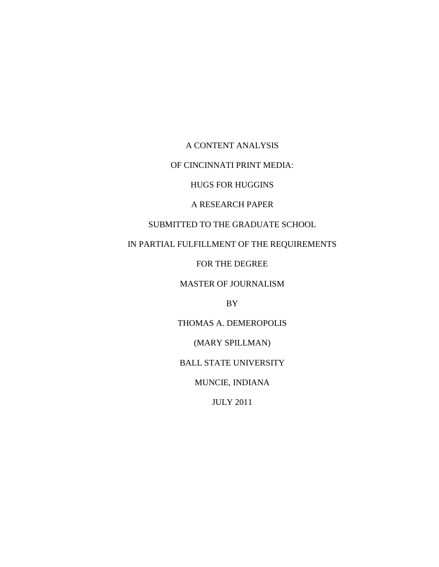A CONTENT ANALYSIS

OF CINCINNATI PRINT MEDIA:

HUGS FOR HUGGINS

A RESEARCH PAPER

SUBMITTED TO THE GRADUATE SCHOOL

IN PARTIAL FULFILLMENT OF THE REQUIREMENTS

FOR THE DEGREE

MASTER OF JOURNALISM

BY

THOMAS A. DEMEROPOLIS

(MARY SPILLMAN)

BALL STATE UNIVERSITY

MUNCIE, INDIANA

JULY 2011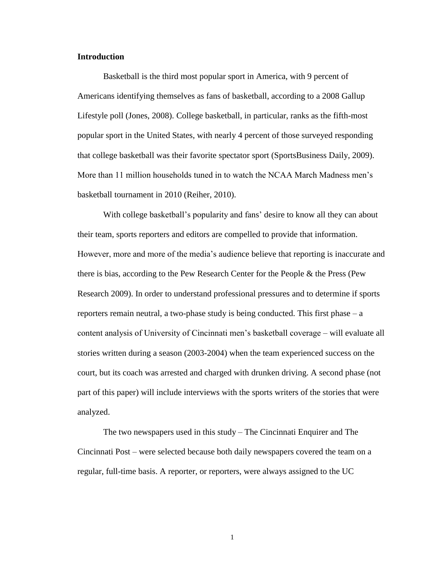# **Introduction**

Basketball is the third most popular sport in America, with 9 percent of Americans identifying themselves as fans of basketball, according to a 2008 Gallup Lifestyle poll (Jones, 2008). College basketball, in particular, ranks as the fifth-most popular sport in the United States, with nearly 4 percent of those surveyed responding that college basketball was their favorite spectator sport (SportsBusiness Daily, 2009). More than 11 million households tuned in to watch the NCAA March Madness men's basketball tournament in 2010 (Reiher, 2010).

With college basketball's popularity and fans' desire to know all they can about their team, sports reporters and editors are compelled to provide that information. However, more and more of the media's audience believe that reporting is inaccurate and there is bias, according to the Pew Research Center for the People & the Press (Pew Research 2009). In order to understand professional pressures and to determine if sports reporters remain neutral, a two-phase study is being conducted. This first phase  $-a$ content analysis of University of Cincinnati men's basketball coverage – will evaluate all stories written during a season (2003-2004) when the team experienced success on the court, but its coach was arrested and charged with drunken driving. A second phase (not part of this paper) will include interviews with the sports writers of the stories that were analyzed.

The two newspapers used in this study – The Cincinnati Enquirer and The Cincinnati Post – were selected because both daily newspapers covered the team on a regular, full-time basis. A reporter, or reporters, were always assigned to the UC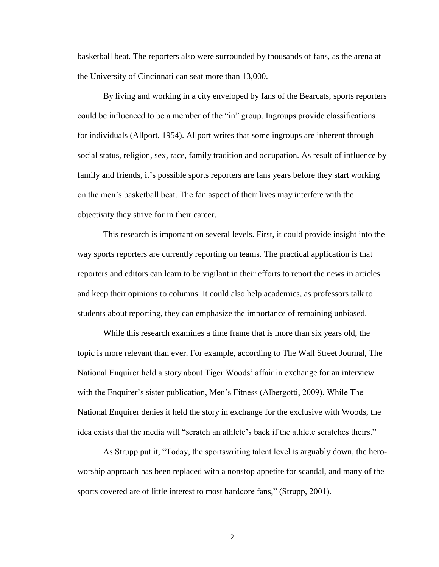basketball beat. The reporters also were surrounded by thousands of fans, as the arena at the University of Cincinnati can seat more than 13,000.

By living and working in a city enveloped by fans of the Bearcats, sports reporters could be influenced to be a member of the "in" group. Ingroups provide classifications for individuals (Allport, 1954). Allport writes that some ingroups are inherent through social status, religion, sex, race, family tradition and occupation. As result of influence by family and friends, it's possible sports reporters are fans years before they start working on the men's basketball beat. The fan aspect of their lives may interfere with the objectivity they strive for in their career.

This research is important on several levels. First, it could provide insight into the way sports reporters are currently reporting on teams. The practical application is that reporters and editors can learn to be vigilant in their efforts to report the news in articles and keep their opinions to columns. It could also help academics, as professors talk to students about reporting, they can emphasize the importance of remaining unbiased.

While this research examines a time frame that is more than six years old, the topic is more relevant than ever. For example, according to The Wall Street Journal, The National Enquirer held a story about Tiger Woods' affair in exchange for an interview with the Enquirer's sister publication, Men's Fitness (Albergotti, 2009). While The National Enquirer denies it held the story in exchange for the exclusive with Woods, the idea exists that the media will "scratch an athlete's back if the athlete scratches theirs."

As Strupp put it, "Today, the sportswriting talent level is arguably down, the heroworship approach has been replaced with a nonstop appetite for scandal, and many of the sports covered are of little interest to most hardcore fans," (Strupp, 2001).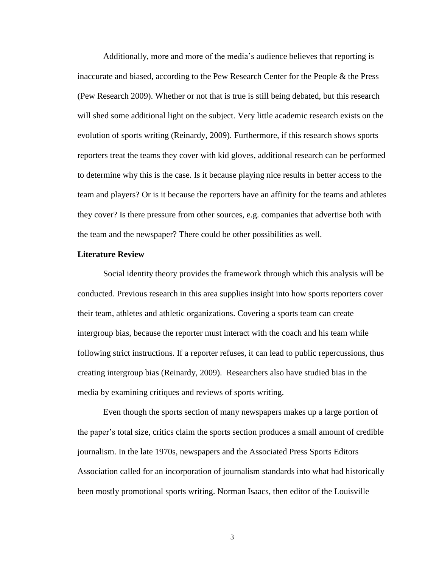Additionally, more and more of the media's audience believes that reporting is inaccurate and biased, according to the Pew Research Center for the People & the Press (Pew Research 2009). Whether or not that is true is still being debated, but this research will shed some additional light on the subject. Very little academic research exists on the evolution of sports writing (Reinardy, 2009). Furthermore, if this research shows sports reporters treat the teams they cover with kid gloves, additional research can be performed to determine why this is the case. Is it because playing nice results in better access to the team and players? Or is it because the reporters have an affinity for the teams and athletes they cover? Is there pressure from other sources, e.g. companies that advertise both with the team and the newspaper? There could be other possibilities as well.

#### **Literature Review**

Social identity theory provides the framework through which this analysis will be conducted. Previous research in this area supplies insight into how sports reporters cover their team, athletes and athletic organizations. Covering a sports team can create intergroup bias, because the reporter must interact with the coach and his team while following strict instructions. If a reporter refuses, it can lead to public repercussions, thus creating intergroup bias (Reinardy, 2009). Researchers also have studied bias in the media by examining critiques and reviews of sports writing.

Even though the sports section of many newspapers makes up a large portion of the paper's total size, critics claim the sports section produces a small amount of credible journalism. In the late 1970s, newspapers and the Associated Press Sports Editors Association called for an incorporation of journalism standards into what had historically been mostly promotional sports writing. Norman Isaacs, then editor of the Louisville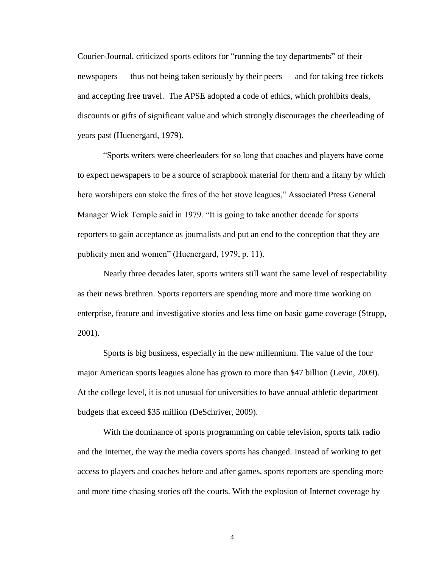Courier-Journal, criticized sports editors for "running the toy departments" of their newspapers — thus not being taken seriously by their peers — and for taking free tickets and accepting free travel. The APSE adopted a code of ethics, which prohibits deals, discounts or gifts of significant value and which strongly discourages the cheerleading of years past (Huenergard, 1979).

―Sports writers were cheerleaders for so long that coaches and players have come to expect newspapers to be a source of scrapbook material for them and a litany by which hero worshipers can stoke the fires of the hot stove leagues," Associated Press General Manager Wick Temple said in 1979. "It is going to take another decade for sports reporters to gain acceptance as journalists and put an end to the conception that they are publicity men and women" (Huenergard, 1979, p. 11).

Nearly three decades later, sports writers still want the same level of respectability as their news brethren. Sports reporters are spending more and more time working on enterprise, feature and investigative stories and less time on basic game coverage (Strupp, 2001).

Sports is big business, especially in the new millennium. The value of the four major American sports leagues alone has grown to more than \$47 billion (Levin, 2009). At the college level, it is not unusual for universities to have annual athletic department budgets that exceed \$35 million (DeSchriver, 2009).

With the dominance of sports programming on cable television, sports talk radio and the Internet, the way the media covers sports has changed. Instead of working to get access to players and coaches before and after games, sports reporters are spending more and more time chasing stories off the courts. With the explosion of Internet coverage by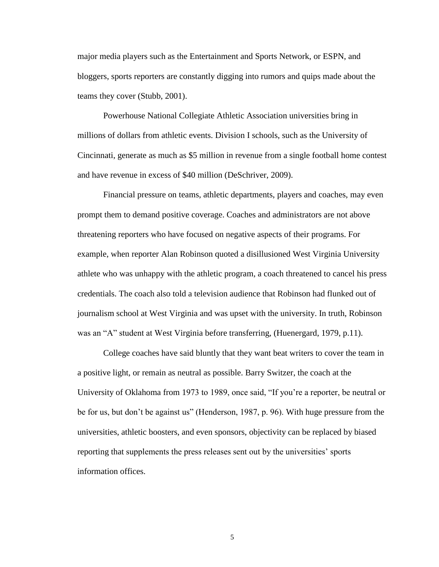major media players such as the Entertainment and Sports Network, or ESPN, and bloggers, sports reporters are constantly digging into rumors and quips made about the teams they cover (Stubb, 2001).

Powerhouse National Collegiate Athletic Association universities bring in millions of dollars from athletic events. Division I schools, such as the University of Cincinnati, generate as much as \$5 million in revenue from a single football home contest and have revenue in excess of \$40 million (DeSchriver, 2009).

Financial pressure on teams, athletic departments, players and coaches, may even prompt them to demand positive coverage. Coaches and administrators are not above threatening reporters who have focused on negative aspects of their programs. For example, when reporter Alan Robinson quoted a disillusioned West Virginia University athlete who was unhappy with the athletic program, a coach threatened to cancel his press credentials. The coach also told a television audience that Robinson had flunked out of journalism school at West Virginia and was upset with the university. In truth, Robinson was an "A" student at West Virginia before transferring, (Huenergard, 1979, p.11).

College coaches have said bluntly that they want beat writers to cover the team in a positive light, or remain as neutral as possible. Barry Switzer, the coach at the University of Oklahoma from 1973 to 1989, once said, "If you're a reporter, be neutral or be for us, but don't be against us" (Henderson, 1987, p. 96). With huge pressure from the universities, athletic boosters, and even sponsors, objectivity can be replaced by biased reporting that supplements the press releases sent out by the universities' sports information offices.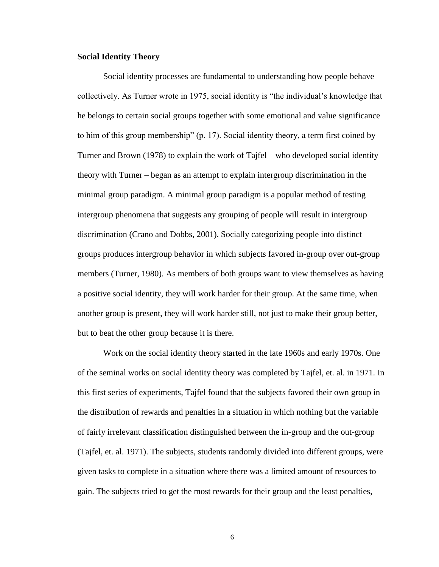## **Social Identity Theory**

Social identity processes are fundamental to understanding how people behave collectively. As Turner wrote in 1975, social identity is "the individual's knowledge that he belongs to certain social groups together with some emotional and value significance to him of this group membership" (p. 17). Social identity theory, a term first coined by Turner and Brown (1978) to explain the work of Tajfel – who developed social identity theory with Turner – began as an attempt to explain intergroup discrimination in the minimal group paradigm. A minimal group paradigm is a popular method of testing intergroup phenomena that suggests any grouping of people will result in intergroup discrimination (Crano and Dobbs, 2001). Socially categorizing people into distinct groups produces intergroup behavior in which subjects favored in-group over out-group members (Turner, 1980). As members of both groups want to view themselves as having a positive social identity, they will work harder for their group. At the same time, when another group is present, they will work harder still, not just to make their group better, but to beat the other group because it is there.

Work on the social identity theory started in the late 1960s and early 1970s. One of the seminal works on social identity theory was completed by Tajfel, et. al. in 1971. In this first series of experiments, Tajfel found that the subjects favored their own group in the distribution of rewards and penalties in a situation in which nothing but the variable of fairly irrelevant classification distinguished between the in-group and the out-group (Tajfel, et. al. 1971). The subjects, students randomly divided into different groups, were given tasks to complete in a situation where there was a limited amount of resources to gain. The subjects tried to get the most rewards for their group and the least penalties,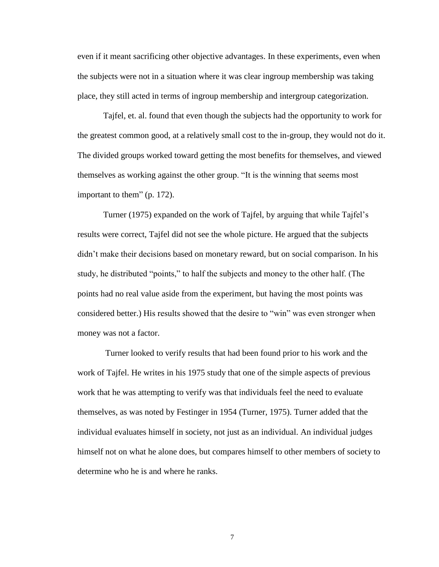even if it meant sacrificing other objective advantages. In these experiments, even when the subjects were not in a situation where it was clear ingroup membership was taking place, they still acted in terms of ingroup membership and intergroup categorization.

Tajfel, et. al. found that even though the subjects had the opportunity to work for the greatest common good, at a relatively small cost to the in-group, they would not do it. The divided groups worked toward getting the most benefits for themselves, and viewed themselves as working against the other group. "It is the winning that seems most important to them" (p. 172).

Turner (1975) expanded on the work of Tajfel, by arguing that while Tajfel's results were correct, Tajfel did not see the whole picture. He argued that the subjects didn't make their decisions based on monetary reward, but on social comparison. In his study, he distributed "points," to half the subjects and money to the other half. (The points had no real value aside from the experiment, but having the most points was considered better.) His results showed that the desire to "win" was even stronger when money was not a factor.

Turner looked to verify results that had been found prior to his work and the work of Tajfel. He writes in his 1975 study that one of the simple aspects of previous work that he was attempting to verify was that individuals feel the need to evaluate themselves, as was noted by Festinger in 1954 (Turner, 1975). Turner added that the individual evaluates himself in society, not just as an individual. An individual judges himself not on what he alone does, but compares himself to other members of society to determine who he is and where he ranks.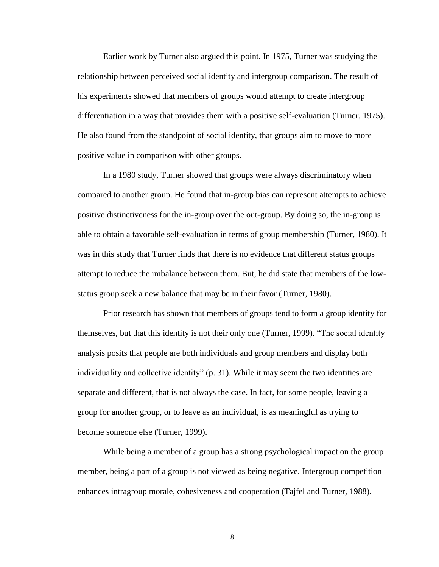Earlier work by Turner also argued this point. In 1975, Turner was studying the relationship between perceived social identity and intergroup comparison. The result of his experiments showed that members of groups would attempt to create intergroup differentiation in a way that provides them with a positive self-evaluation (Turner, 1975). He also found from the standpoint of social identity, that groups aim to move to more positive value in comparison with other groups.

In a 1980 study, Turner showed that groups were always discriminatory when compared to another group. He found that in-group bias can represent attempts to achieve positive distinctiveness for the in-group over the out-group. By doing so, the in-group is able to obtain a favorable self-evaluation in terms of group membership (Turner, 1980). It was in this study that Turner finds that there is no evidence that different status groups attempt to reduce the imbalance between them. But, he did state that members of the lowstatus group seek a new balance that may be in their favor (Turner, 1980).

Prior research has shown that members of groups tend to form a group identity for themselves, but that this identity is not their only one (Turner, 1999). "The social identity analysis posits that people are both individuals and group members and display both individuality and collective identity"  $(p, 31)$ . While it may seem the two identities are separate and different, that is not always the case. In fact, for some people, leaving a group for another group, or to leave as an individual, is as meaningful as trying to become someone else (Turner, 1999).

While being a member of a group has a strong psychological impact on the group member, being a part of a group is not viewed as being negative. Intergroup competition enhances intragroup morale, cohesiveness and cooperation (Tajfel and Turner, 1988).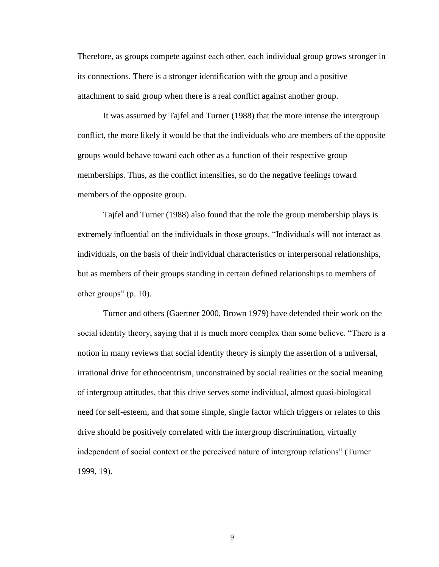Therefore, as groups compete against each other, each individual group grows stronger in its connections. There is a stronger identification with the group and a positive attachment to said group when there is a real conflict against another group.

It was assumed by Tajfel and Turner (1988) that the more intense the intergroup conflict, the more likely it would be that the individuals who are members of the opposite groups would behave toward each other as a function of their respective group memberships. Thus, as the conflict intensifies, so do the negative feelings toward members of the opposite group.

Tajfel and Turner (1988) also found that the role the group membership plays is extremely influential on the individuals in those groups. "Individuals will not interact as individuals, on the basis of their individual characteristics or interpersonal relationships, but as members of their groups standing in certain defined relationships to members of other groups" (p.  $10$ ).

Turner and others (Gaertner 2000, Brown 1979) have defended their work on the social identity theory, saying that it is much more complex than some believe. "There is a notion in many reviews that social identity theory is simply the assertion of a universal, irrational drive for ethnocentrism, unconstrained by social realities or the social meaning of intergroup attitudes, that this drive serves some individual, almost quasi-biological need for self-esteem, and that some simple, single factor which triggers or relates to this drive should be positively correlated with the intergroup discrimination, virtually independent of social context or the perceived nature of intergroup relations" (Turner 1999, 19).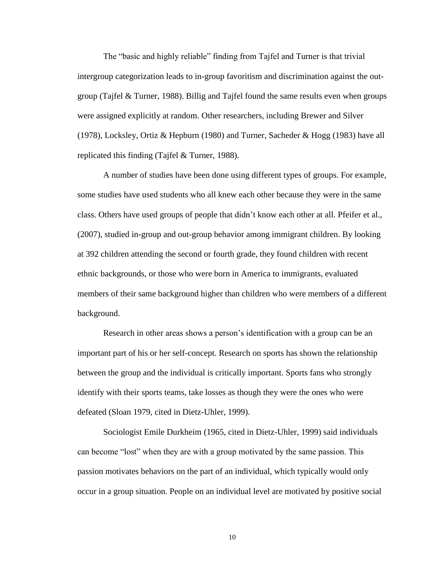The "basic and highly reliable" finding from Tajfel and Turner is that trivial intergroup categorization leads to in-group favoritism and discrimination against the outgroup (Tajfel & Turner, 1988). Billig and Tajfel found the same results even when groups were assigned explicitly at random. Other researchers, including Brewer and Silver (1978), Locksley, Ortiz & Hepburn (1980) and Turner, Sacheder & Hogg (1983) have all replicated this finding (Tajfel & Turner, 1988).

A number of studies have been done using different types of groups. For example, some studies have used students who all knew each other because they were in the same class. Others have used groups of people that didn't know each other at all. Pfeifer et al., (2007), studied in-group and out-group behavior among immigrant children. By looking at 392 children attending the second or fourth grade, they found children with recent ethnic backgrounds, or those who were born in America to immigrants, evaluated members of their same background higher than children who were members of a different background.

Research in other areas shows a person's identification with a group can be an important part of his or her self-concept. Research on sports has shown the relationship between the group and the individual is critically important. Sports fans who strongly identify with their sports teams, take losses as though they were the ones who were defeated (Sloan 1979, cited in Dietz-Uhler, 1999).

Sociologist Emile Durkheim (1965, cited in Dietz-Uhler, 1999) said individuals can become "lost" when they are with a group motivated by the same passion. This passion motivates behaviors on the part of an individual, which typically would only occur in a group situation. People on an individual level are motivated by positive social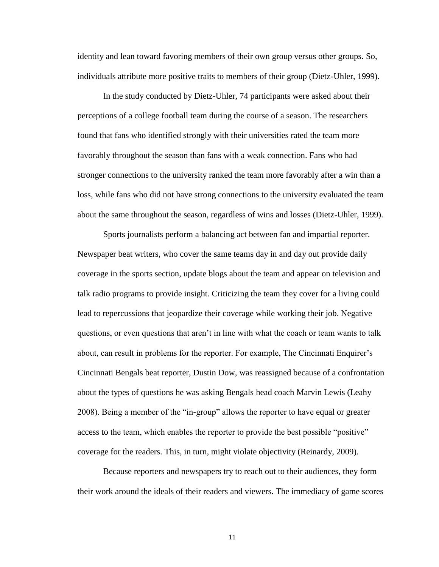identity and lean toward favoring members of their own group versus other groups. So, individuals attribute more positive traits to members of their group (Dietz-Uhler, 1999).

In the study conducted by Dietz-Uhler, 74 participants were asked about their perceptions of a college football team during the course of a season. The researchers found that fans who identified strongly with their universities rated the team more favorably throughout the season than fans with a weak connection. Fans who had stronger connections to the university ranked the team more favorably after a win than a loss, while fans who did not have strong connections to the university evaluated the team about the same throughout the season, regardless of wins and losses (Dietz-Uhler, 1999).

Sports journalists perform a balancing act between fan and impartial reporter. Newspaper beat writers, who cover the same teams day in and day out provide daily coverage in the sports section, update blogs about the team and appear on television and talk radio programs to provide insight. Criticizing the team they cover for a living could lead to repercussions that jeopardize their coverage while working their job. Negative questions, or even questions that aren't in line with what the coach or team wants to talk about, can result in problems for the reporter. For example, The Cincinnati Enquirer's Cincinnati Bengals beat reporter, Dustin Dow, was reassigned because of a confrontation about the types of questions he was asking Bengals head coach Marvin Lewis (Leahy 2008). Being a member of the "in-group" allows the reporter to have equal or greater access to the team, which enables the reporter to provide the best possible "positive" coverage for the readers. This, in turn, might violate objectivity (Reinardy, 2009).

Because reporters and newspapers try to reach out to their audiences, they form their work around the ideals of their readers and viewers. The immediacy of game scores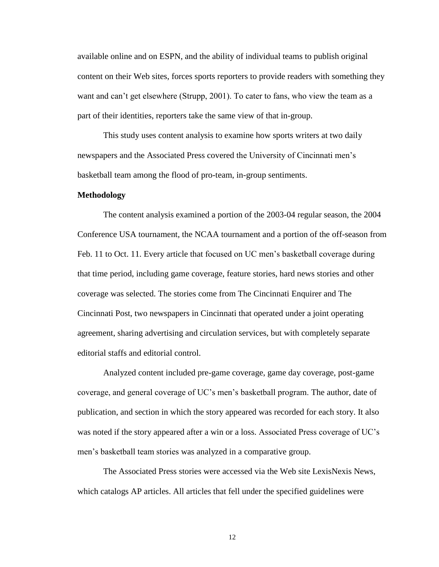available online and on ESPN, and the ability of individual teams to publish original content on their Web sites, forces sports reporters to provide readers with something they want and can't get elsewhere (Strupp, 2001). To cater to fans, who view the team as a part of their identities, reporters take the same view of that in-group.

This study uses content analysis to examine how sports writers at two daily newspapers and the Associated Press covered the University of Cincinnati men's basketball team among the flood of pro-team, in-group sentiments.

#### **Methodology**

The content analysis examined a portion of the 2003-04 regular season, the 2004 Conference USA tournament, the NCAA tournament and a portion of the off-season from Feb. 11 to Oct. 11. Every article that focused on UC men's basketball coverage during that time period, including game coverage, feature stories, hard news stories and other coverage was selected. The stories come from The Cincinnati Enquirer and The Cincinnati Post, two newspapers in Cincinnati that operated under a joint operating agreement, sharing advertising and circulation services, but with completely separate editorial staffs and editorial control.

Analyzed content included pre-game coverage, game day coverage, post-game coverage, and general coverage of UC's men's basketball program. The author, date of publication, and section in which the story appeared was recorded for each story. It also was noted if the story appeared after a win or a loss. Associated Press coverage of UC's men's basketball team stories was analyzed in a comparative group.

The Associated Press stories were accessed via the Web site LexisNexis News, which catalogs AP articles. All articles that fell under the specified guidelines were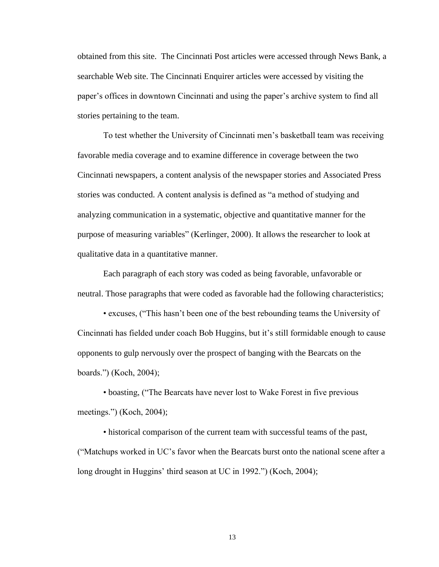obtained from this site. The Cincinnati Post articles were accessed through News Bank, a searchable Web site. The Cincinnati Enquirer articles were accessed by visiting the paper's offices in downtown Cincinnati and using the paper's archive system to find all stories pertaining to the team.

To test whether the University of Cincinnati men's basketball team was receiving favorable media coverage and to examine difference in coverage between the two Cincinnati newspapers, a content analysis of the newspaper stories and Associated Press stories was conducted. A content analysis is defined as "a method of studying and analyzing communication in a systematic, objective and quantitative manner for the purpose of measuring variables" (Kerlinger, 2000). It allows the researcher to look at qualitative data in a quantitative manner.

Each paragraph of each story was coded as being favorable, unfavorable or neutral. Those paragraphs that were coded as favorable had the following characteristics;

• excuses, ("This hasn't been one of the best rebounding teams the University of Cincinnati has fielded under coach Bob Huggins, but it's still formidable enough to cause opponents to gulp nervously over the prospect of banging with the Bearcats on the boards.‖) (Koch, 2004);

• boasting, ("The Bearcats have never lost to Wake Forest in five previous meetings.") (Koch, 2004);

• historical comparison of the current team with successful teams of the past, (―Matchups worked in UC's favor when the Bearcats burst onto the national scene after a long drought in Huggins' third season at UC in 1992.") (Koch, 2004);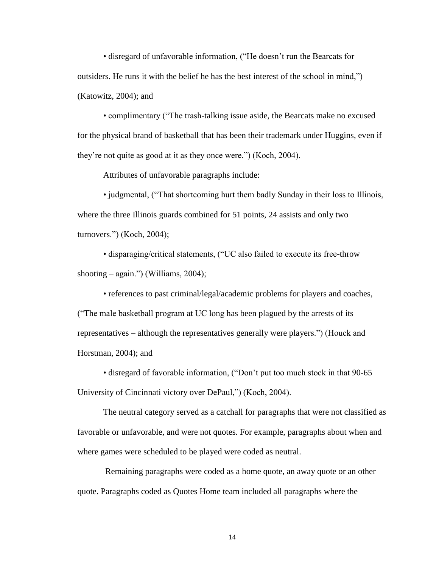• disregard of unfavorable information, ("He doesn't run the Bearcats for outsiders. He runs it with the belief he has the best interest of the school in mind,") (Katowitz, 2004); and

• complimentary ("The trash-talking issue aside, the Bearcats make no excused for the physical brand of basketball that has been their trademark under Huggins, even if they're not quite as good at it as they once were.") (Koch, 2004).

Attributes of unfavorable paragraphs include:

• judgmental, ("That shortcoming hurt them badly Sunday in their loss to Illinois, where the three Illinois guards combined for 51 points, 24 assists and only two turnovers.") (Koch, 2004);

• disparaging/critical statements, ("UC also failed to execute its free-throw shooting – again.") (Williams, 2004);

• references to past criminal/legal/academic problems for players and coaches, (―The male basketball program at UC long has been plagued by the arrests of its representatives – although the representatives generally were players.") (Houck and Horstman, 2004); and

• disregard of favorable information, ("Don't put too much stock in that 90-65 University of Cincinnati victory over DePaul,") (Koch, 2004).

The neutral category served as a catchall for paragraphs that were not classified as favorable or unfavorable, and were not quotes. For example, paragraphs about when and where games were scheduled to be played were coded as neutral.

Remaining paragraphs were coded as a home quote, an away quote or an other quote. Paragraphs coded as Quotes Home team included all paragraphs where the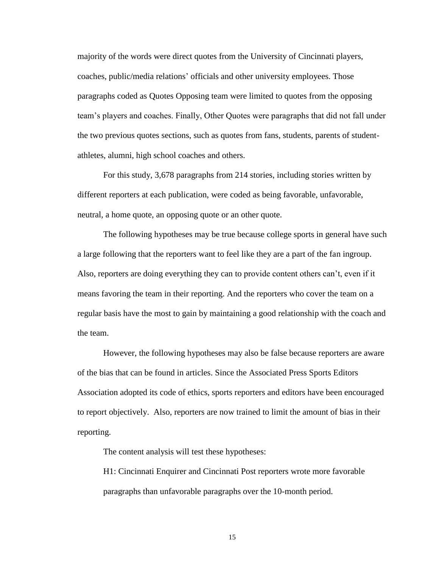majority of the words were direct quotes from the University of Cincinnati players, coaches, public/media relations' officials and other university employees. Those paragraphs coded as Quotes Opposing team were limited to quotes from the opposing team's players and coaches. Finally, Other Quotes were paragraphs that did not fall under the two previous quotes sections, such as quotes from fans, students, parents of studentathletes, alumni, high school coaches and others.

For this study, 3,678 paragraphs from 214 stories, including stories written by different reporters at each publication, were coded as being favorable, unfavorable, neutral, a home quote, an opposing quote or an other quote.

The following hypotheses may be true because college sports in general have such a large following that the reporters want to feel like they are a part of the fan ingroup. Also, reporters are doing everything they can to provide content others can't, even if it means favoring the team in their reporting. And the reporters who cover the team on a regular basis have the most to gain by maintaining a good relationship with the coach and the team.

However, the following hypotheses may also be false because reporters are aware of the bias that can be found in articles. Since the Associated Press Sports Editors Association adopted its code of ethics, sports reporters and editors have been encouraged to report objectively. Also, reporters are now trained to limit the amount of bias in their reporting.

The content analysis will test these hypotheses:

H1: Cincinnati Enquirer and Cincinnati Post reporters wrote more favorable paragraphs than unfavorable paragraphs over the 10-month period.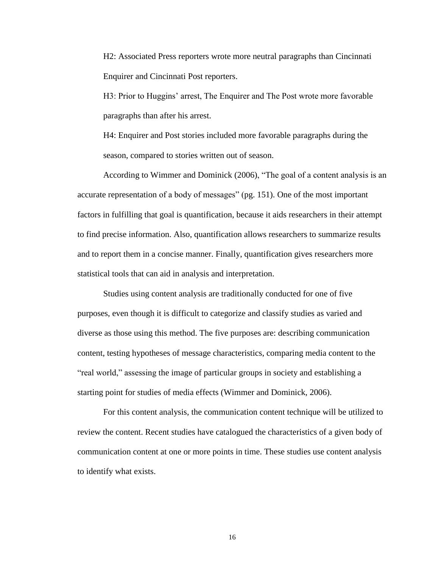H2: Associated Press reporters wrote more neutral paragraphs than Cincinnati Enquirer and Cincinnati Post reporters.

H3: Prior to Huggins' arrest, The Enquirer and The Post wrote more favorable paragraphs than after his arrest.

H4: Enquirer and Post stories included more favorable paragraphs during the season, compared to stories written out of season.

According to Wimmer and Dominick (2006), "The goal of a content analysis is an accurate representation of a body of messages" (pg. 151). One of the most important factors in fulfilling that goal is quantification, because it aids researchers in their attempt to find precise information. Also, quantification allows researchers to summarize results and to report them in a concise manner. Finally, quantification gives researchers more statistical tools that can aid in analysis and interpretation.

Studies using content analysis are traditionally conducted for one of five purposes, even though it is difficult to categorize and classify studies as varied and diverse as those using this method. The five purposes are: describing communication content, testing hypotheses of message characteristics, comparing media content to the ―real world,‖ assessing the image of particular groups in society and establishing a starting point for studies of media effects (Wimmer and Dominick, 2006).

For this content analysis, the communication content technique will be utilized to review the content. Recent studies have catalogued the characteristics of a given body of communication content at one or more points in time. These studies use content analysis to identify what exists.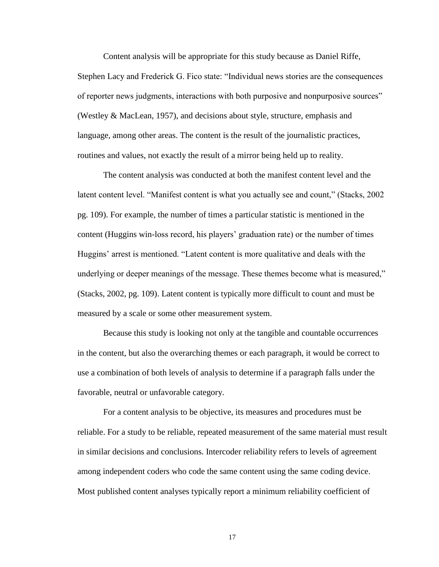Content analysis will be appropriate for this study because as Daniel Riffe, Stephen Lacy and Frederick G. Fico state: "Individual news stories are the consequences of reporter news judgments, interactions with both purposive and nonpurposive sources" (Westley & MacLean, 1957), and decisions about style, structure, emphasis and language, among other areas. The content is the result of the journalistic practices, routines and values, not exactly the result of a mirror being held up to reality.

The content analysis was conducted at both the manifest content level and the latent content level. "Manifest content is what you actually see and count," (Stacks, 2002) pg. 109). For example, the number of times a particular statistic is mentioned in the content (Huggins win-loss record, his players' graduation rate) or the number of times Huggins' arrest is mentioned. "Latent content is more qualitative and deals with the underlying or deeper meanings of the message. These themes become what is measured," (Stacks, 2002, pg. 109). Latent content is typically more difficult to count and must be measured by a scale or some other measurement system.

Because this study is looking not only at the tangible and countable occurrences in the content, but also the overarching themes or each paragraph, it would be correct to use a combination of both levels of analysis to determine if a paragraph falls under the favorable, neutral or unfavorable category.

For a content analysis to be objective, its measures and procedures must be reliable. For a study to be reliable, repeated measurement of the same material must result in similar decisions and conclusions. Intercoder reliability refers to levels of agreement among independent coders who code the same content using the same coding device. Most published content analyses typically report a minimum reliability coefficient of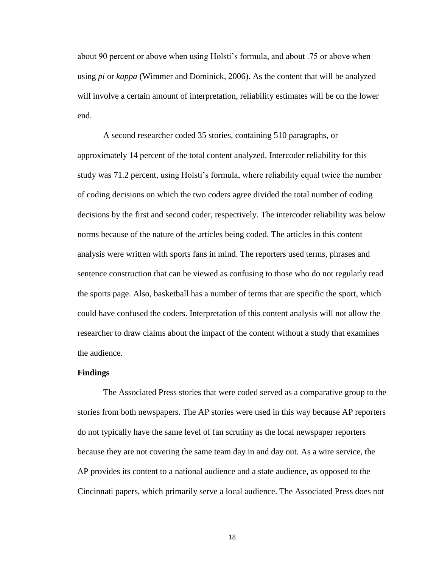about 90 percent or above when using Holsti's formula, and about .75 or above when using *pi* or *kappa* (Wimmer and Dominick, 2006). As the content that will be analyzed will involve a certain amount of interpretation, reliability estimates will be on the lower end.

A second researcher coded 35 stories, containing 510 paragraphs, or approximately 14 percent of the total content analyzed. Intercoder reliability for this study was 71.2 percent, using Holsti's formula, where reliability equal twice the number of coding decisions on which the two coders agree divided the total number of coding decisions by the first and second coder, respectively. The intercoder reliability was below norms because of the nature of the articles being coded. The articles in this content analysis were written with sports fans in mind. The reporters used terms, phrases and sentence construction that can be viewed as confusing to those who do not regularly read the sports page. Also, basketball has a number of terms that are specific the sport, which could have confused the coders. Interpretation of this content analysis will not allow the researcher to draw claims about the impact of the content without a study that examines the audience.

### **Findings**

The Associated Press stories that were coded served as a comparative group to the stories from both newspapers. The AP stories were used in this way because AP reporters do not typically have the same level of fan scrutiny as the local newspaper reporters because they are not covering the same team day in and day out. As a wire service, the AP provides its content to a national audience and a state audience, as opposed to the Cincinnati papers, which primarily serve a local audience. The Associated Press does not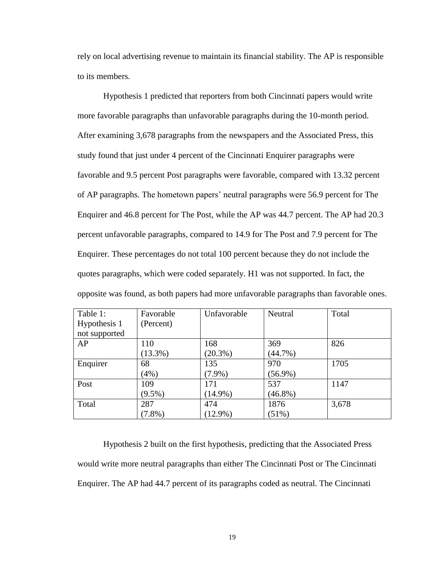rely on local advertising revenue to maintain its financial stability. The AP is responsible to its members.

Hypothesis 1 predicted that reporters from both Cincinnati papers would write more favorable paragraphs than unfavorable paragraphs during the 10-month period. After examining 3,678 paragraphs from the newspapers and the Associated Press, this study found that just under 4 percent of the Cincinnati Enquirer paragraphs were favorable and 9.5 percent Post paragraphs were favorable, compared with 13.32 percent of AP paragraphs. The hometown papers' neutral paragraphs were 56.9 percent for The Enquirer and 46.8 percent for The Post, while the AP was 44.7 percent. The AP had 20.3 percent unfavorable paragraphs, compared to 14.9 for The Post and 7.9 percent for The Enquirer. These percentages do not total 100 percent because they do not include the quotes paragraphs, which were coded separately. H1 was not supported. In fact, the opposite was found, as both papers had more unfavorable paragraphs than favorable ones.

| Table 1:      | Favorable  | Unfavorable | Neutral    | Total |
|---------------|------------|-------------|------------|-------|
| Hypothesis 1  | (Percent)  |             |            |       |
| not supported |            |             |            |       |
| AP            | 110        | 168         | 369        | 826   |
|               | $(13.3\%)$ | $(20.3\%)$  | $(44.7\%)$ |       |
| Enquirer      | 68         | 135         | 970        | 1705  |
|               | (4%)       | $(7.9\%)$   | $(56.9\%)$ |       |
| Post          | 109        | 171         | 537        | 1147  |
|               | $(9.5\%)$  | $(14.9\%)$  | $(46.8\%)$ |       |
| Total         | 287        | 474         | 1876       | 3,678 |
|               | $(7.8\%)$  | $(12.9\%)$  | (51%)      |       |

Hypothesis 2 built on the first hypothesis, predicting that the Associated Press would write more neutral paragraphs than either The Cincinnati Post or The Cincinnati Enquirer. The AP had 44.7 percent of its paragraphs coded as neutral. The Cincinnati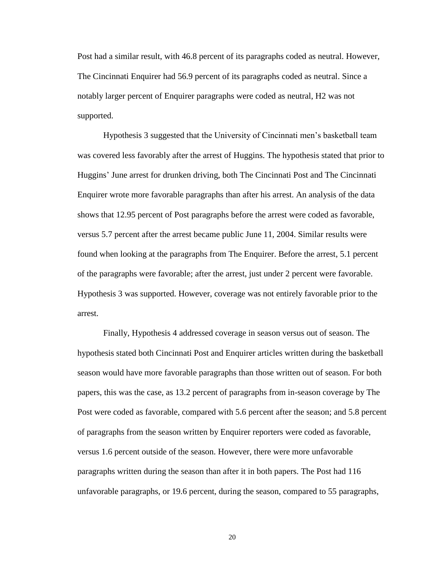Post had a similar result, with 46.8 percent of its paragraphs coded as neutral. However, The Cincinnati Enquirer had 56.9 percent of its paragraphs coded as neutral. Since a notably larger percent of Enquirer paragraphs were coded as neutral, H2 was not supported.

Hypothesis 3 suggested that the University of Cincinnati men's basketball team was covered less favorably after the arrest of Huggins. The hypothesis stated that prior to Huggins' June arrest for drunken driving, both The Cincinnati Post and The Cincinnati Enquirer wrote more favorable paragraphs than after his arrest. An analysis of the data shows that 12.95 percent of Post paragraphs before the arrest were coded as favorable, versus 5.7 percent after the arrest became public June 11, 2004. Similar results were found when looking at the paragraphs from The Enquirer. Before the arrest, 5.1 percent of the paragraphs were favorable; after the arrest, just under 2 percent were favorable. Hypothesis 3 was supported. However, coverage was not entirely favorable prior to the arrest.

Finally, Hypothesis 4 addressed coverage in season versus out of season. The hypothesis stated both Cincinnati Post and Enquirer articles written during the basketball season would have more favorable paragraphs than those written out of season. For both papers, this was the case, as 13.2 percent of paragraphs from in-season coverage by The Post were coded as favorable, compared with 5.6 percent after the season; and 5.8 percent of paragraphs from the season written by Enquirer reporters were coded as favorable, versus 1.6 percent outside of the season. However, there were more unfavorable paragraphs written during the season than after it in both papers. The Post had 116 unfavorable paragraphs, or 19.6 percent, during the season, compared to 55 paragraphs,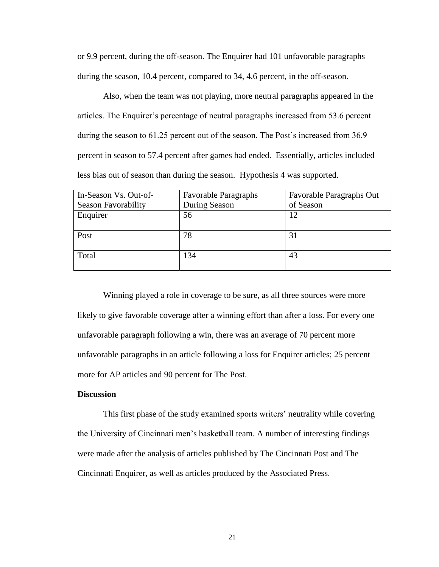or 9.9 percent, during the off-season. The Enquirer had 101 unfavorable paragraphs during the season, 10.4 percent, compared to 34, 4.6 percent, in the off-season.

Also, when the team was not playing, more neutral paragraphs appeared in the articles. The Enquirer's percentage of neutral paragraphs increased from 53.6 percent during the season to 61.25 percent out of the season. The Post's increased from 36.9 percent in season to 57.4 percent after games had ended. Essentially, articles included less bias out of season than during the season. Hypothesis 4 was supported.

| In-Season Vs. Out-of-      | <b>Favorable Paragraphs</b> | Favorable Paragraphs Out |
|----------------------------|-----------------------------|--------------------------|
| <b>Season Favorability</b> | During Season               | of Season                |
| Enquirer                   | 56                          | 12                       |
|                            |                             |                          |
| Post                       | 78                          | 31                       |
| Total                      | 134                         | 43                       |

Winning played a role in coverage to be sure, as all three sources were more likely to give favorable coverage after a winning effort than after a loss. For every one unfavorable paragraph following a win, there was an average of 70 percent more unfavorable paragraphs in an article following a loss for Enquirer articles; 25 percent more for AP articles and 90 percent for The Post.

# **Discussion**

This first phase of the study examined sports writers' neutrality while covering the University of Cincinnati men's basketball team. A number of interesting findings were made after the analysis of articles published by The Cincinnati Post and The Cincinnati Enquirer, as well as articles produced by the Associated Press.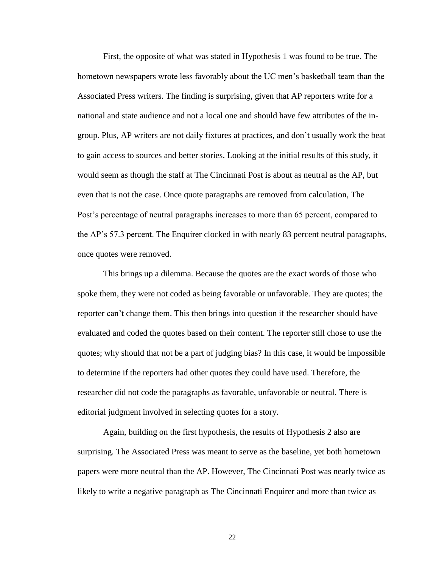First, the opposite of what was stated in Hypothesis 1 was found to be true. The hometown newspapers wrote less favorably about the UC men's basketball team than the Associated Press writers. The finding is surprising, given that AP reporters write for a national and state audience and not a local one and should have few attributes of the ingroup. Plus, AP writers are not daily fixtures at practices, and don't usually work the beat to gain access to sources and better stories. Looking at the initial results of this study, it would seem as though the staff at The Cincinnati Post is about as neutral as the AP, but even that is not the case. Once quote paragraphs are removed from calculation, The Post's percentage of neutral paragraphs increases to more than 65 percent, compared to the AP's 57.3 percent. The Enquirer clocked in with nearly 83 percent neutral paragraphs, once quotes were removed.

This brings up a dilemma. Because the quotes are the exact words of those who spoke them, they were not coded as being favorable or unfavorable. They are quotes; the reporter can't change them. This then brings into question if the researcher should have evaluated and coded the quotes based on their content. The reporter still chose to use the quotes; why should that not be a part of judging bias? In this case, it would be impossible to determine if the reporters had other quotes they could have used. Therefore, the researcher did not code the paragraphs as favorable, unfavorable or neutral. There is editorial judgment involved in selecting quotes for a story.

Again, building on the first hypothesis, the results of Hypothesis 2 also are surprising. The Associated Press was meant to serve as the baseline, yet both hometown papers were more neutral than the AP. However, The Cincinnati Post was nearly twice as likely to write a negative paragraph as The Cincinnati Enquirer and more than twice as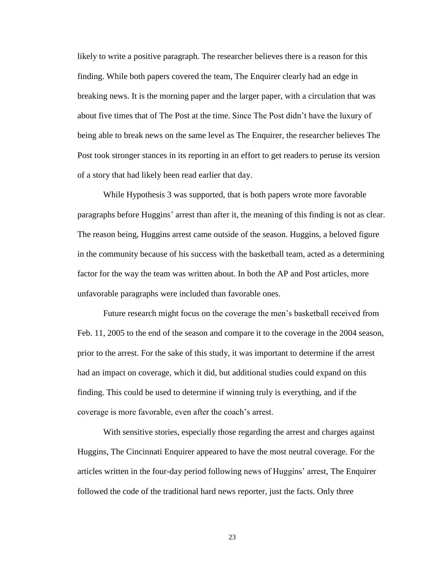likely to write a positive paragraph. The researcher believes there is a reason for this finding. While both papers covered the team, The Enquirer clearly had an edge in breaking news. It is the morning paper and the larger paper, with a circulation that was about five times that of The Post at the time. Since The Post didn't have the luxury of being able to break news on the same level as The Enquirer, the researcher believes The Post took stronger stances in its reporting in an effort to get readers to peruse its version of a story that had likely been read earlier that day.

While Hypothesis 3 was supported, that is both papers wrote more favorable paragraphs before Huggins' arrest than after it, the meaning of this finding is not as clear. The reason being, Huggins arrest came outside of the season. Huggins, a beloved figure in the community because of his success with the basketball team, acted as a determining factor for the way the team was written about. In both the AP and Post articles, more unfavorable paragraphs were included than favorable ones.

Future research might focus on the coverage the men's basketball received from Feb. 11, 2005 to the end of the season and compare it to the coverage in the 2004 season, prior to the arrest. For the sake of this study, it was important to determine if the arrest had an impact on coverage, which it did, but additional studies could expand on this finding. This could be used to determine if winning truly is everything, and if the coverage is more favorable, even after the coach's arrest.

With sensitive stories, especially those regarding the arrest and charges against Huggins, The Cincinnati Enquirer appeared to have the most neutral coverage. For the articles written in the four-day period following news of Huggins' arrest, The Enquirer followed the code of the traditional hard news reporter, just the facts. Only three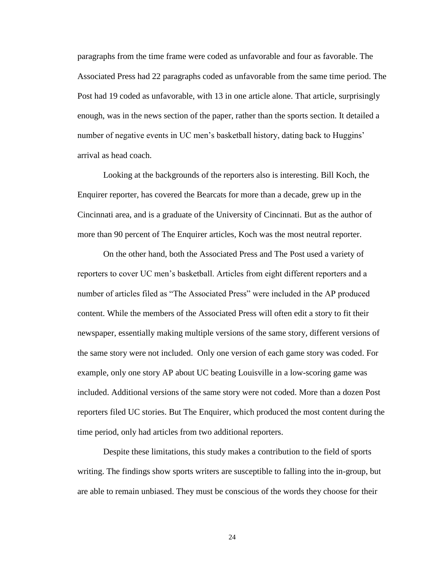paragraphs from the time frame were coded as unfavorable and four as favorable. The Associated Press had 22 paragraphs coded as unfavorable from the same time period. The Post had 19 coded as unfavorable, with 13 in one article alone. That article, surprisingly enough, was in the news section of the paper, rather than the sports section. It detailed a number of negative events in UC men's basketball history, dating back to Huggins' arrival as head coach.

Looking at the backgrounds of the reporters also is interesting. Bill Koch, the Enquirer reporter, has covered the Bearcats for more than a decade, grew up in the Cincinnati area, and is a graduate of the University of Cincinnati. But as the author of more than 90 percent of The Enquirer articles, Koch was the most neutral reporter.

On the other hand, both the Associated Press and The Post used a variety of reporters to cover UC men's basketball. Articles from eight different reporters and a number of articles filed as "The Associated Press" were included in the AP produced content. While the members of the Associated Press will often edit a story to fit their newspaper, essentially making multiple versions of the same story, different versions of the same story were not included. Only one version of each game story was coded. For example, only one story AP about UC beating Louisville in a low-scoring game was included. Additional versions of the same story were not coded. More than a dozen Post reporters filed UC stories. But The Enquirer, which produced the most content during the time period, only had articles from two additional reporters.

Despite these limitations, this study makes a contribution to the field of sports writing. The findings show sports writers are susceptible to falling into the in-group, but are able to remain unbiased. They must be conscious of the words they choose for their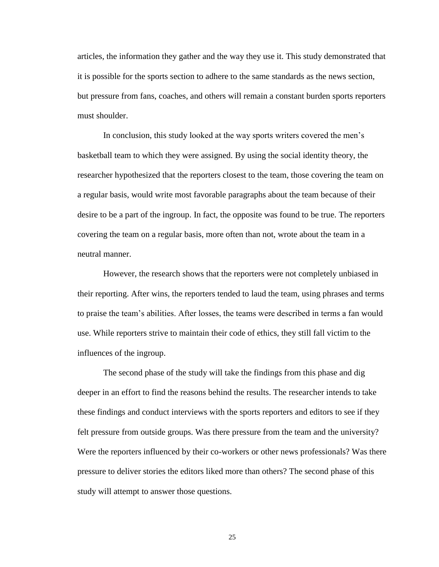articles, the information they gather and the way they use it. This study demonstrated that it is possible for the sports section to adhere to the same standards as the news section, but pressure from fans, coaches, and others will remain a constant burden sports reporters must shoulder.

In conclusion, this study looked at the way sports writers covered the men's basketball team to which they were assigned. By using the social identity theory, the researcher hypothesized that the reporters closest to the team, those covering the team on a regular basis, would write most favorable paragraphs about the team because of their desire to be a part of the ingroup. In fact, the opposite was found to be true. The reporters covering the team on a regular basis, more often than not, wrote about the team in a neutral manner.

However, the research shows that the reporters were not completely unbiased in their reporting. After wins, the reporters tended to laud the team, using phrases and terms to praise the team's abilities. After losses, the teams were described in terms a fan would use. While reporters strive to maintain their code of ethics, they still fall victim to the influences of the ingroup.

The second phase of the study will take the findings from this phase and dig deeper in an effort to find the reasons behind the results. The researcher intends to take these findings and conduct interviews with the sports reporters and editors to see if they felt pressure from outside groups. Was there pressure from the team and the university? Were the reporters influenced by their co-workers or other news professionals? Was there pressure to deliver stories the editors liked more than others? The second phase of this study will attempt to answer those questions.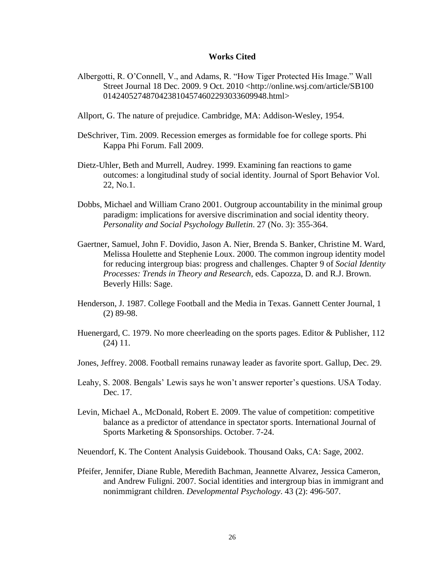### **Works Cited**

- Albergotti, R. O'Connell, V., and Adams, R. "How Tiger Protected His Image." Wall Street Journal 18 Dec. 2009. 9 Oct. 2010 <http://online.wsj.com/article/SB100 01424052748704238104574602293033609948.html>
- Allport, G. The nature of prejudice. Cambridge, MA: Addison-Wesley, 1954.
- DeSchriver, Tim. 2009. Recession emerges as formidable foe for college sports. Phi Kappa Phi Forum. Fall 2009.
- Dietz-Uhler, Beth and Murrell, Audrey. 1999. Examining fan reactions to game outcomes: a longitudinal study of social identity. Journal of Sport Behavior Vol. 22, No.1.
- Dobbs, Michael and William Crano 2001. Outgroup accountability in the minimal group paradigm: implications for aversive discrimination and social identity theory. *Personality and Social Psychology Bulletin*. 27 (No. 3): 355-364.
- Gaertner, Samuel, John F. Dovidio, Jason A. Nier, Brenda S. Banker, Christine M. Ward, Melissa Houlette and Stephenie Loux. 2000. The common ingroup identity model for reducing intergroup bias: progress and challenges. Chapter 9 of *Social Identity Processes: Trends in Theory and Research*, eds. Capozza, D. and R.J. Brown. Beverly Hills: Sage.
- Henderson, J. 1987. College Football and the Media in Texas. Gannett Center Journal, 1 (2) 89-98.
- Huenergard, C. 1979. No more cheerleading on the sports pages. Editor & Publisher, 112 (24) 11.
- Jones, Jeffrey. 2008. Football remains runaway leader as favorite sport. Gallup, Dec. 29.
- Leahy, S. 2008. Bengals' Lewis says he won't answer reporter's questions. USA Today. Dec. 17.
- Levin, Michael A., McDonald, Robert E. 2009. The value of competition: competitive balance as a predictor of attendance in spectator sports. International Journal of Sports Marketing & Sponsorships. October. 7-24.
- Neuendorf, K. The Content Analysis Guidebook. Thousand Oaks, CA: Sage, 2002.
- Pfeifer, Jennifer, Diane Ruble, Meredith Bachman, Jeannette Alvarez, Jessica Cameron, and Andrew Fuligni. 2007. Social identities and intergroup bias in immigrant and nonimmigrant children. *Developmental Psychology*. 43 (2): 496-507.